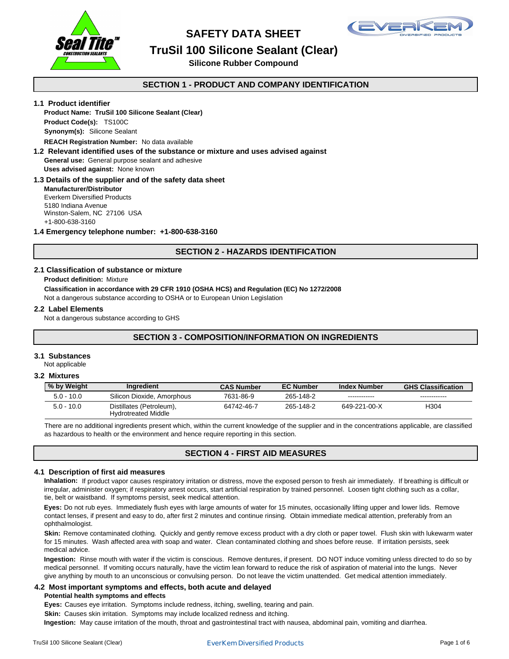

## **SAFETY DATA SHEET**



# **TruSil 100 Silicone Sealant (Clear)**

**Silicone Rubber Compound**

### **SECTION 1 - PRODUCT AND COMPANY IDENTIFICATION**

#### **1.1 Product identifier**

### **Synonym(s):** Silicone Sealant **Product Code(s):** TS100C **Product Name: TruSil 100 Silicone Sealant (Clear)**

**REACH Registration Number:** No data available

**General use:** General purpose sealant and adhesive **1.2 Relevant identified uses of the substance or mixture and uses advised against Uses advised against:** None known

### **1.3 Details of the supplier and of the safety data sheet**

**Manufacturer/Distributor** Everkem Diversified Products 5180 Indiana Avenue Winston-Salem, NC 27106 USA +1-800-638-3160

#### **1.4 Emergency telephone number: +1-800-638-3160**

### **SECTION 2 - HAZARDS IDENTIFICATION**

#### **2.1 Classification of substance or mixture**

**Product definition:** Mixture

**Classification in accordance with 29 CFR 1910 (OSHA HCS) and Regulation (EC) No 1272/2008**

Not a dangerous substance according to OSHA or to European Union Legislation

#### **2.2 Label Elements**

Not a dangerous substance according to GHS

### **SECTION 3 - COMPOSITION/INFORMATION ON INGREDIENTS**

### **3.1 Substances**

Not applicable

| 3.2 Mixtures |                                                        |                   |                  |                     |                           |
|--------------|--------------------------------------------------------|-------------------|------------------|---------------------|---------------------------|
| % by Weight  | Ingredient                                             | <b>CAS Number</b> | <b>EC Number</b> | <b>Index Number</b> | <b>GHS Classification</b> |
| $5.0 - 10.0$ | Silicon Dioxide, Amorphous                             | 7631-86-9         | 265-148-2        |                     |                           |
| $5.0 - 10.0$ | Distillates (Petroleum),<br><b>Hydrotreated Middle</b> | 64742-46-7        | 265-148-2        | 649-221-00-X        | H304                      |

There are no additional ingredients present which, within the current knowledge of the supplier and in the concentrations applicable, are classified as hazardous to health or the environment and hence require reporting in this section.

### **SECTION 4 - FIRST AID MEASURES**

#### **4.1 Description of first aid measures**

Inhalation: If product vapor causes respiratory irritation or distress, move the exposed person to fresh air immediately. If breathing is difficult or irregular, administer oxygen; if respiratory arrest occurs, start artificial respiration by trained personnel. Loosen tight clothing such as a collar, tie, belt or waistband. If symptoms persist, seek medical attention.

Eyes: Do not rub eyes. Immediately flush eyes with large amounts of water for 15 minutes, occasionally lifting upper and lower lids. Remove contact lenses, if present and easy to do, after first 2 minutes and continue rinsing. Obtain immediate medical attention, preferably from an ophthalmologist.

Skin: Remove contaminated clothing. Quickly and gently remove excess product with a dry cloth or paper towel. Flush skin with lukewarm water for 15 minutes. Wash affected area with soap and water. Clean contaminated clothing and shoes before reuse. If irritation persists, seek medical advice.

give anything by mouth to an unconscious or convulsing person. Do not leave the victim unattended. Get medical attention immediately. medical personnel. If vomiting occurs naturally, have the victim lean forward to reduce the risk of aspiration of material into the lungs. Never **Ingestion:** Rinse mouth with water if the victim is conscious. Remove dentures, if present. DO NOT induce vomiting unless directed to do so by

### **4.2 Most important symptoms and effects, both acute and delayed**

#### **Potential health symptoms and effects**

**Eyes:** Causes eye irritation. Symptoms include redness, itching, swelling, tearing and pain.

**Skin:** Causes skin irritation. Symptoms may include localized redness and itching.

**Ingestion:** May cause irritation of the mouth, throat and gastrointestinal tract with nausea, abdominal pain, vomiting and diarrhea.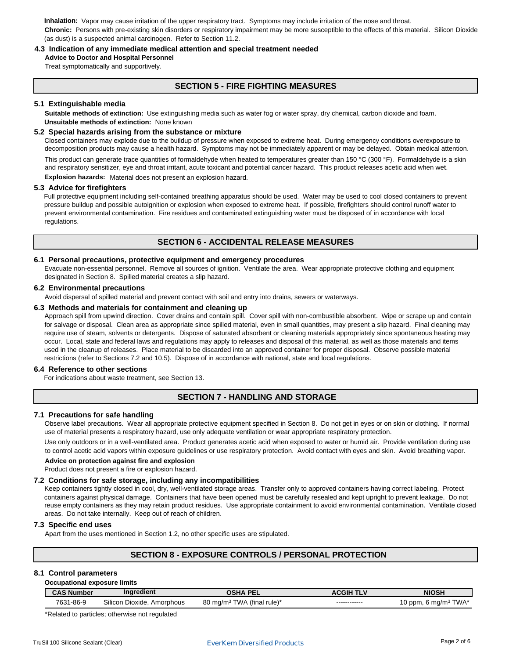**Inhalation:** Vapor may cause irritation of the upper respiratory tract. Symptoms may include irritation of the nose and throat. **Chronic:** Persons with pre-existing skin disorders or respiratory impairment may be more susceptible to the effects of this material. Silicon Dioxide (as dust) is a suspected animal carcinogen. Refer to Section 11.2.

#### **4.3 Indication of any immediate medical attention and special treatment needed**

**Advice to Doctor and Hospital Personnel**

Treat symptomatically and supportively.

### **SECTION 5 - FIRE FIGHTING MEASURES**

#### **5.1 Extinguishable media**

**Suitable methods of extinction:** Use extinguishing media such as water fog or water spray, dry chemical, carbon dioxide and foam. **Unsuitable methods of extinction:** None known

#### **5.2 Special hazards arising from the substance or mixture**

decomposition products may cause a health hazard. Symptoms may not be immediately apparent or may be delayed. Obtain medical attention. Closed containers may explode due to the buildup of pressure when exposed to extreme heat. During emergency conditions overexposure to

This product can generate trace quantities of formaldehyde when heated to temperatures greater than 150 °C (300 °F). Formaldehyde is a skin and respiratory sensitizer, eye and throat irritant, acute toxicant and potential cancer hazard. This product releases acetic acid when wet.

**Explosion hazards:** Material does not present an explosion hazard.

#### **5.3 Advice for firefighters**

Full protective equipment including self-contained breathing apparatus should be used. Water may be used to cool closed containers to prevent pressure buildup and possible autoignition or explosion when exposed to extreme heat. If possible, firefighters should control runoff water to regulations. prevent environmental contamination. Fire residues and contaminated extinguishing water must be disposed of in accordance with local

### **SECTION 6 - ACCIDENTAL RELEASE MEASURES**

#### **6.1 Personal precautions, protective equipment and emergency procedures**

Evacuate non-essential personnel. Remove all sources of ignition. Ventilate the area. Wear appropriate protective clothing and equipment designated in Section 8. Spilled material creates a slip hazard.

### **6.2 Environmental precautions**

Avoid dispersal of spilled material and prevent contact with soil and entry into drains, sewers or waterways.

#### **6.3 Methods and materials for containment and cleaning up**

used in the cleanup of releases. Place material to be discarded into an approved container for proper disposal. Observe possible material restrictions (refer to Sections 7.2 and 10.5). Dispose of in accordance with national, state and local regulations. Approach spill from upwind direction. Cover drains and contain spill. Cover spill with non-combustible absorbent. Wipe or scrape up and contain occur. Local, state and federal laws and regulations may apply to releases and disposal of this material, as well as those materials and items for salvage or disposal. Clean area as appropriate since spilled material, even in small quantities, may present a slip hazard. Final cleaning may require use of steam, solvents or detergents. Dispose of saturated absorbent or cleaning materials appropriately since spontaneous heating may

#### **6.4 Reference to other sections**

For indications about waste treatment, see Section 13.

### **SECTION 7 - HANDLING AND STORAGE**

#### **7.1 Precautions for safe handling**

Observe label precautions. Wear all appropriate protective equipment specified in Section 8. Do not get in eyes or on skin or clothing. If normal use of material presents a respiratory hazard, use only adequate ventilation or wear appropriate respiratory protection.

Use only outdoors or in a well-ventilated area. Product generates acetic acid when exposed to water or humid air. Provide ventilation during use to control acetic acid vapors within exposure guidelines or use respiratory protection. Avoid contact with eyes and skin. Avoid breathing vapor.

#### **Advice on protection against fire and explosion**

Product does not present a fire or explosion hazard.

#### **7.2 Conditions for safe storage, including any incompatibilities**

reuse empty containers as they may retain product residues. Use appropriate containment to avoid environmental contamination. Ventilate closed areas. Do not take internally. Keep out of reach of children. containers against physical damage. Containers that have been opened must be carefully resealed and kept upright to prevent leakage. Do not Keep containers tightly closed in cool, dry, well-ventilated storage areas. Transfer only to approved containers having correct labeling. Protect

#### **7.3 Specific end uses**

Apart from the uses mentioned in Section 1.2, no other specific uses are stipulated.

### **SECTION 8 - EXPOSURE CONTROLS / PERSONAL PROTECTION**

#### **8.1 Control parameters**

| Occupational exposure limits |                            |                                        |                  |                                  |  |
|------------------------------|----------------------------|----------------------------------------|------------------|----------------------------------|--|
| <b>CAS Number</b>            | Ingredient                 | <b>OSHA PEL</b>                        | <b>ACGIH TLV</b> | <b>NIOSH</b>                     |  |
| 7631-86-9                    | Silicon Dioxide, Amorphous | 80 mg/m <sup>3</sup> TWA (final rule)* | ------------     | 10 ppm, 6 mg/m <sup>3</sup> TWA* |  |

\*Related to particles; otherwise not regulated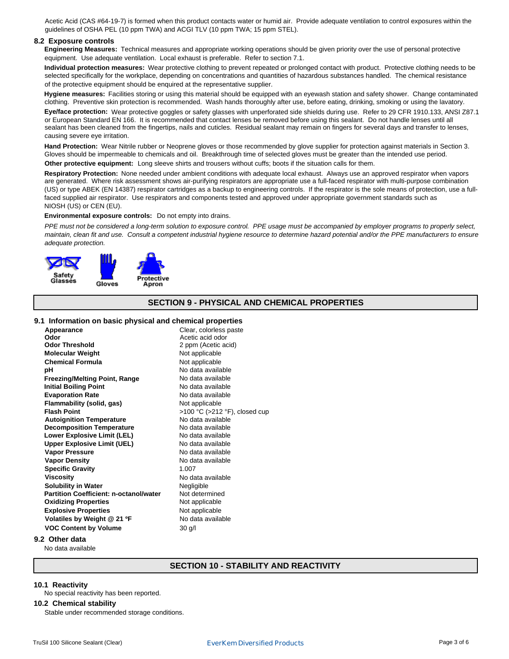Acetic Acid (CAS #64-19-7) is formed when this product contacts water or humid air. Provide adequate ventilation to control exposures within the guidelines of OSHA PEL (10 ppm TWA) and ACGI TLV (10 ppm TWA; 15 ppm STEL).

#### **8.2 Exposure controls**

Engineering Measures: Technical measures and appropriate working operations should be given priority over the use of personal protective equipment. Use adequate ventilation. Local exhaust is preferable. Refer to section 7.1.

**Individual protection measures:** Wear protective clothing to prevent repeated or prolonged contact with product. Protective clothing needs to be selected specifically for the workplace, depending on concentrations and quantities of hazardous substances handled. The chemical resistance of the protective equipment should be enquired at the representative supplier.

clothing. Preventive skin protection is recommended. Wash hands thoroughly after use, before eating, drinking, smoking or using the lavatory. Hygiene measures: Facilities storing or using this material should be equipped with an eyewash station and safety shower. Change contaminated

**Eye/face protection:** Wear protective goggles or safety glasses with unperforated side shields during use. Refer to 29 CFR 1910.133, ANSI Z87.1 or European Standard EN 166. It is recommended that contact lenses be removed before using this sealant. Do not handle lenses until all sealant has been cleaned from the fingertips, nails and cuticles. Residual sealant may remain on fingers for several days and transfer to lenses, causing severe eye irritation.

**Hand Protection:** Wear Nitrile rubber or Neoprene gloves or those recommended by glove supplier for protection against materials in Section 3. Gloves should be impermeable to chemicals and oil. Breakthrough time of selected gloves must be greater than the intended use period.

Other protective equipment: Long sleeve shirts and trousers without cuffs; boots if the situation calls for them.

Respiratory Protection: None needed under ambient conditions with adequate local exhaust. Always use an approved respirator when vapors are generated. Where risk assessment shows air-purifying respirators are appropriate use a full-faced respirator with multi-purpose combination (US) or type ABEK (EN 14387) respirator cartridges as a backup to engineering controls. If the respirator is the sole means of protection, use a fullfaced supplied air respirator. Use respirators and components tested and approved under appropriate government standards such as NIOSH (US) or CEN (EU).

#### **Environmental exposure controls:** Do not empty into drains.

PPE must not be considered a long-term solution to exposure control. PPE usage must be accompanied by employer programs to properly select, maintain, clean fit and use. Consult a competent industrial hygiene resource to determine hazard potential and/or the PPE manufacturers to ensure adequate protection.



### **SECTION 9 - PHYSICAL AND CHEMICAL PROPERTIES**

#### **9.1 Information on basic physical and chemical properties**

| Appearance                                    | Clear, colorless paste        |
|-----------------------------------------------|-------------------------------|
| Odor                                          | Acetic acid odor              |
| <b>Odor Threshold</b>                         | 2 ppm (Acetic acid)           |
| <b>Molecular Weight</b>                       | Not applicable                |
| <b>Chemical Formula</b>                       | Not applicable                |
| рH                                            | No data available             |
| <b>Freezing/Melting Point, Range</b>          | No data available             |
| <b>Initial Boiling Point</b>                  | No data available             |
| <b>Evaporation Rate</b>                       | No data available             |
| Flammability (solid, gas)                     | Not applicable                |
| <b>Flash Point</b>                            | >100 °C (>212 °F), closed cup |
| <b>Autoignition Temperature</b>               | No data available             |
| <b>Decomposition Temperature</b>              | No data available             |
| <b>Lower Explosive Limit (LEL)</b>            | No data available             |
| <b>Upper Explosive Limit (UEL)</b>            | No data available             |
| <b>Vapor Pressure</b>                         | No data available             |
| <b>Vapor Density</b>                          | No data available             |
| <b>Specific Gravity</b>                       | 1.007                         |
| <b>Viscosity</b>                              | No data available             |
| <b>Solubility in Water</b>                    | Negligible                    |
| <b>Partition Coefficient: n-octanol/water</b> | Not determined                |
| <b>Oxidizing Properties</b>                   | Not applicable                |
| <b>Explosive Properties</b>                   | Not applicable                |
| Volatiles by Weight @ 21 ºF                   | No data available             |
| <b>VOC Content by Volume</b>                  | $30$ g/l                      |

#### **9.2 Other data**

No data available

### **SECTION 10 - STABILITY AND REACTIVITY**

#### **10.1 Reactivity**

No special reactivity has been reported.

#### **10.2 Chemical stability**

Stable under recommended storage conditions.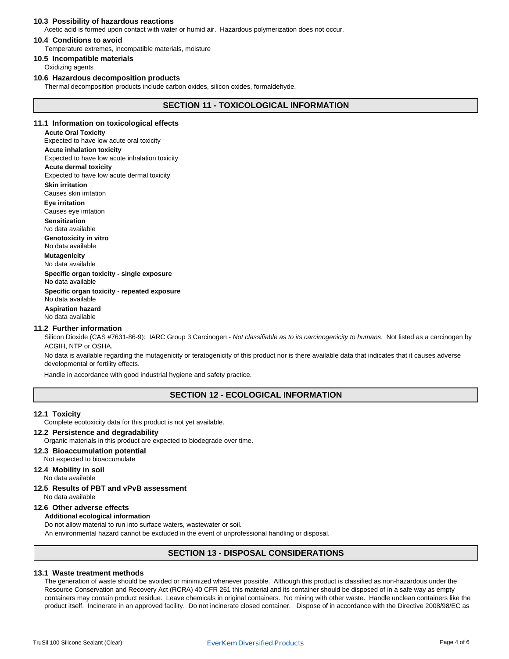#### **10.3 Possibility of hazardous reactions**

Acetic acid is formed upon contact with water or humid air. Hazardous polymerization does not occur.

#### **10.4 Conditions to avoid**

Temperature extremes, incompatible materials, moisture

**10.5 Incompatible materials**

Oxidizing agents

#### **10.6 Hazardous decomposition products**

Thermal decomposition products include carbon oxides, silicon oxides, formaldehyde.

### **SECTION 11 - TOXICOLOGICAL INFORMATION**

#### **11.1 Information on toxicological effects**

**Acute Oral Toxicity** Expected to have low acute oral toxicity **Acute inhalation toxicity Acute dermal toxicity** Expected to have low acute inhalation toxicity Expected to have low acute dermal toxicity

Causes skin irritation **Skin irritation**

**Eye irritation**

Causes eye irritation

**Sensitization**

No data available

**Genotoxicity in vitro** No data available

**Mutagenicity** 

No data available

No data available **Specific organ toxicity - single exposure**

No data available **Specific organ toxicity - repeated exposure**

#### **Aspiration hazard** No data available

#### **11.2 Further information**

Silicon Dioxide (CAS #7631-86-9): IARC Group 3 Carcinogen - Not classifiable as to its carcinogenicity to humans. Not listed as a carcinogen by ACGIH, NTP or OSHA.

developmental or fertility effects. No data is available regarding the mutagenicity or teratogenicity of this product nor is there available data that indicates that it causes adverse

Handle in accordance with good industrial hygiene and safety practice.

### **SECTION 12 - ECOLOGICAL INFORMATION**

#### **12.1 Toxicity**

Complete ecotoxicity data for this product is not yet available.

#### **12.2 Persistence and degradability**

Organic materials in this product are expected to biodegrade over time.

#### Not expected to bioaccumulate **12.3 Bioaccumulation potential**

#### No data available **12.4 Mobility in soil**

**12.5 Results of PBT and vPvB assessment**

No data available

### **12.6 Other adverse effects**

#### **Additional ecological information**

Do not allow material to run into surface waters, wastewater or soil.

An environmental hazard cannot be excluded in the event of unprofessional handling or disposal.

### **SECTION 13 - DISPOSAL CONSIDERATIONS**

#### **13.1 Waste treatment methods**

Resource Conservation and Recovery Act (RCRA) 40 CFR 261 this material and its container should be disposed of in a safe way as empty The generation of waste should be avoided or minimized whenever possible. Although this product is classified as non-hazardous under the product itself. Incinerate in an approved facility. Do not incinerate closed container. Dispose of in accordance with the Directive 2008/98/EC as containers may contain product residue. Leave chemicals in original containers. No mixing with other waste. Handle unclean containers like the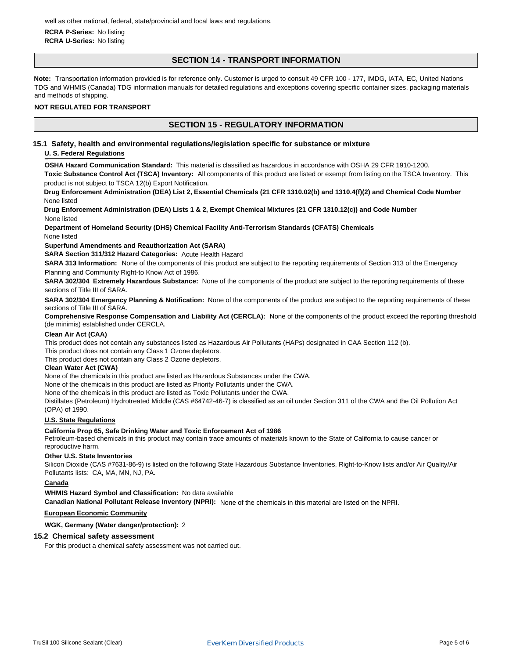#### **RCRA P-Series:** No listing **RCRA U-Series:** No listing

### **SECTION 14 - TRANSPORT INFORMATION**

**Note:** Transportation information provided is for reference only. Customer is urged to consult 49 CFR 100 - 177, IMDG, IATA, EC, United Nations TDG and WHMIS (Canada) TDG information manuals for detailed regulations and exceptions covering specific container sizes, packaging materials and methods of shipping.

#### **NOT REGULATED FOR TRANSPORT**

### **SECTION 15 - REGULATORY INFORMATION**

**15.1 Safety, health and environmental regulations/legislation specific for substance or mixture**

#### **U. S. Federal Regulations**

**OSHA Hazard Communication Standard:** This material is classified as hazardous in accordance with OSHA 29 CFR 1910-1200.

**Toxic Substance Control Act (TSCA) Inventory:** All components of this product are listed or exempt from listing on the TSCA Inventory. This product is not subject to TSCA 12(b) Export Notification.

**Drug Enforcement Administration (DEA) List 2, Essential Chemicals (21 CFR 1310.02(b) and 1310.4(f)(2) and Chemical Code Number** None listed

**Drug Enforcement Administration (DEA) Lists 1 & 2, Exempt Chemical Mixtures (21 CFR 1310.12(c)) and Code Number** None listed

**Department of Homeland Security (DHS) Chemical Facility Anti-Terrorism Standards (CFATS) Chemicals** None listed

**Superfund Amendments and Reauthorization Act (SARA)** 

**SARA Section 311/312 Hazard Categories:** Acute Health Hazard

**SARA 313 Information:** None of the components of this product are subject to the reporting requirements of Section 313 of the Emergency Planning and Community Right-to Know Act of 1986.

**SARA 302/304 Extremely Hazardous Substance:** None of the components of the product are subject to the reporting requirements of these sections of Title III of SARA.

**SARA 302/304 Emergency Planning & Notification:** None of the components of the product are subject to the reporting requirements of these sections of Title III of SARA.

**Comprehensive Response Compensation and Liability Act (CERCLA):** None of the components of the product exceed the reporting threshold (de minimis) established under CERCLA.

### **Clean Air Act (CAA)**

This product does not contain any substances listed as Hazardous Air Pollutants (HAPs) designated in CAA Section 112 (b). This product does not contain any Class 1 Ozone depletors.

This product does not contain any Class 2 Ozone depletors.

#### **Clean Water Act (CWA)**

None of the chemicals in this product are listed as Hazardous Substances under the CWA.

None of the chemicals in this product are listed as Priority Pollutants under the CWA.

None of the chemicals in this product are listed as Toxic Pollutants under the CWA.

Distillates (Petroleum) Hydrotreated Middle (CAS #64742-46-7) is classified as an oil under Section 311 of the CWA and the Oil Pollution Act (OPA) of 1990.

### **U.S. State Regulations**

#### **California Prop 65, Safe Drinking Water and Toxic Enforcement Act of 1986**

Petroleum-based chemicals in this product may contain trace amounts of materials known to the State of California to cause cancer or reproductive harm.

#### **Other U.S. State Inventories**

Silicon Dioxide (CAS #7631-86-9) is listed on the following State Hazardous Substance Inventories, Right-to-Know lists and/or Air Quality/Air Pollutants lists: CA, MA, MN, NJ, PA.

#### **Canada**

#### **WHMIS Hazard Symbol and Classification:** No data available

**Canadian National Pollutant Release Inventory (NPRI):** None of the chemicals in this material are listed on the NPRI.

#### **European Economic Community**

**WGK, Germany (Water danger/protection):** 2

#### **15.2 Chemical safety assessment**

For this product a chemical safety assessment was not carried out.